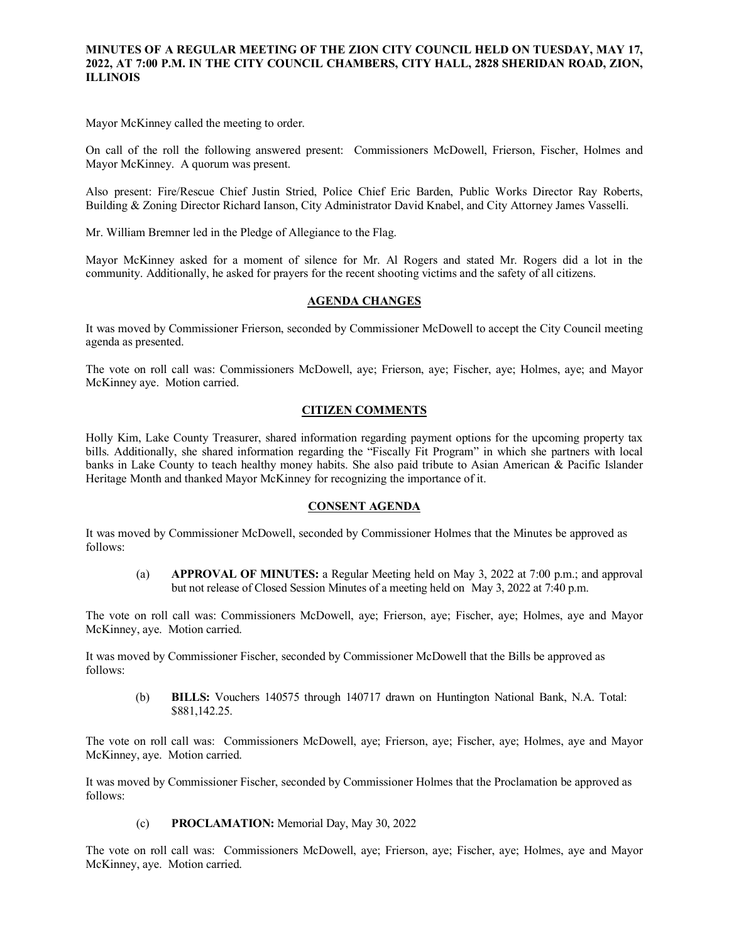### **MINUTES OF A REGULAR MEETING OF THE ZION CITY COUNCIL HELD ON TUESDAY, MAY 17, 2022, AT 7:00 P.M. IN THE CITY COUNCIL CHAMBERS, CITY HALL, 2828 SHERIDAN ROAD, ZION, ILLINOIS**

#### 

Mayor McKinney called the meeting to order.

On call of the roll the following answered present: Commissioners McDowell, Frierson, Fischer, Holmes and Mayor McKinney. A quorum was present.

Also present: Fire/Rescue Chief Justin Stried, Police Chief Eric Barden, Public Works Director Ray Roberts, Building & Zoning Director Richard Ianson, City Administrator David Knabel, and City Attorney James Vasselli.

Mr. William Bremner led in the Pledge of Allegiance to the Flag.

Mayor McKinney asked for a moment of silence for Mr. Al Rogers and stated Mr. Rogers did a lot in the community. Additionally, he asked for prayers for the recent shooting victims and the safety of all citizens.

## **AGENDA CHANGES**

It was moved by Commissioner Frierson, seconded by Commissioner McDowell to accept the City Council meeting agenda as presented.

The vote on roll call was: Commissioners McDowell, aye; Frierson, aye; Fischer, aye; Holmes, aye; and Mayor McKinney aye. Motion carried.

### **CITIZEN COMMENTS**

Holly Kim, Lake County Treasurer, shared information regarding payment options for the upcoming property tax bills. Additionally, she shared information regarding the "Fiscally Fit Program" in which she partners with local banks in Lake County to teach healthy money habits. She also paid tribute to Asian American & Pacific Islander Heritage Month and thanked Mayor McKinney for recognizing the importance of it.

### **CONSENT AGENDA**

It was moved by Commissioner McDowell, seconded by Commissioner Holmes that the Minutes be approved as follows:

(a) **APPROVAL OF MINUTES:** a Regular Meeting held on May 3, 2022 at 7:00 p.m.; and approval but not release of Closed Session Minutes of a meeting held on May 3, 2022 at 7:40 p.m.

The vote on roll call was: Commissioners McDowell, aye; Frierson, aye; Fischer, aye; Holmes, aye and Mayor McKinney, aye. Motion carried.

It was moved by Commissioner Fischer, seconded by Commissioner McDowell that the Bills be approved as follows:

(b) **BILLS:** Vouchers 140575 through 140717 drawn on Huntington National Bank, N.A. Total: \$881,142.25.

The vote on roll call was: Commissioners McDowell, aye; Frierson, aye; Fischer, aye; Holmes, aye and Mayor McKinney, aye. Motion carried.

It was moved by Commissioner Fischer, seconded by Commissioner Holmes that the Proclamation be approved as follows:

(c) **PROCLAMATION:** Memorial Day, May 30, 2022

The vote on roll call was: Commissioners McDowell, aye; Frierson, aye; Fischer, aye; Holmes, aye and Mayor McKinney, aye. Motion carried.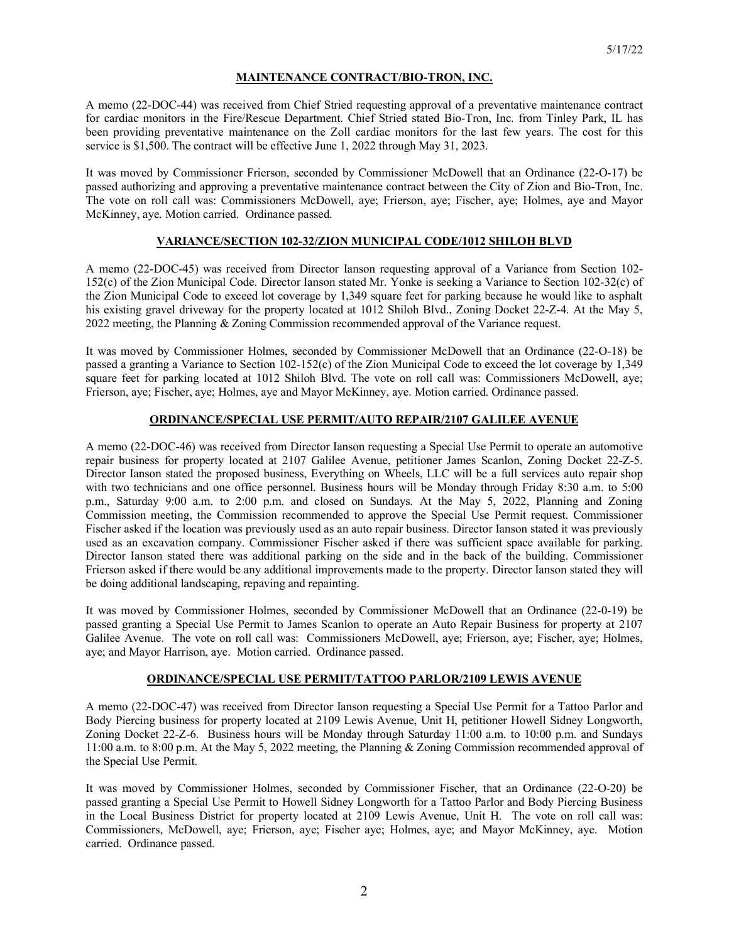## **MAINTENANCE CONTRACT/BIO-TRON, INC.**

A memo (22-DOC-44) was received from Chief Stried requesting approval of a preventative maintenance contract for cardiac monitors in the Fire/Rescue Department. Chief Stried stated Bio-Tron, Inc. from Tinley Park, IL has been providing preventative maintenance on the Zoll cardiac monitors for the last few years. The cost for this service is \$1,500. The contract will be effective June 1, 2022 through May 31, 2023.

It was moved by Commissioner Frierson, seconded by Commissioner McDowell that an Ordinance (22-O-17) be passed authorizing and approving a preventative maintenance contract between the City of Zion and Bio-Tron, Inc. The vote on roll call was: Commissioners McDowell, aye; Frierson, aye; Fischer, aye; Holmes, aye and Mayor McKinney, aye. Motion carried. Ordinance passed.

# **VARIANCE/SECTION 102-32/ZION MUNICIPAL CODE/1012 SHILOH BLVD**

A memo (22-DOC-45) was received from Director Ianson requesting approval of a Variance from Section 102- 152(c) of the Zion Municipal Code. Director Ianson stated Mr. Yonke is seeking a Variance to Section 102-32(c) of the Zion Municipal Code to exceed lot coverage by 1,349 square feet for parking because he would like to asphalt his existing gravel driveway for the property located at 1012 Shiloh Blvd., Zoning Docket 22-Z-4. At the May 5, 2022 meeting, the Planning & Zoning Commission recommended approval of the Variance request.

It was moved by Commissioner Holmes, seconded by Commissioner McDowell that an Ordinance (22-O-18) be passed a granting a Variance to Section 102-152(c) of the Zion Municipal Code to exceed the lot coverage by 1,349 square feet for parking located at 1012 Shiloh Blvd. The vote on roll call was: Commissioners McDowell, aye; Frierson, aye; Fischer, aye; Holmes, aye and Mayor McKinney, aye. Motion carried. Ordinance passed.

# **ORDINANCE/SPECIAL USE PERMIT/AUTO REPAIR/2107 GALILEE AVENUE**

A memo (22-DOC-46) was received from Director Ianson requesting a Special Use Permit to operate an automotive repair business for property located at 2107 Galilee Avenue, petitioner James Scanlon, Zoning Docket 22-Z-5. Director Ianson stated the proposed business, Everything on Wheels, LLC will be a full services auto repair shop with two technicians and one office personnel. Business hours will be Monday through Friday 8:30 a.m. to 5:00 p.m., Saturday 9:00 a.m. to 2:00 p.m. and closed on Sundays. At the May 5, 2022, Planning and Zoning Commission meeting, the Commission recommended to approve the Special Use Permit request. Commissioner Fischer asked if the location was previously used as an auto repair business. Director Ianson stated it was previously used as an excavation company. Commissioner Fischer asked if there was sufficient space available for parking. Director Ianson stated there was additional parking on the side and in the back of the building. Commissioner Frierson asked if there would be any additional improvements made to the property. Director Ianson stated they will be doing additional landscaping, repaving and repainting.

It was moved by Commissioner Holmes, seconded by Commissioner McDowell that an Ordinance (22-0-19) be passed granting a Special Use Permit to James Scanlon to operate an Auto Repair Business for property at 2107 Galilee Avenue. The vote on roll call was: Commissioners McDowell, aye; Frierson, aye; Fischer, aye; Holmes, aye; and Mayor Harrison, aye. Motion carried. Ordinance passed.

## **ORDINANCE/SPECIAL USE PERMIT/TATTOO PARLOR/2109 LEWIS AVENUE**

A memo (22-DOC-47) was received from Director Ianson requesting a Special Use Permit for a Tattoo Parlor and Body Piercing business for property located at 2109 Lewis Avenue, Unit H, petitioner Howell Sidney Longworth, Zoning Docket 22-Z-6. Business hours will be Monday through Saturday 11:00 a.m. to 10:00 p.m. and Sundays 11:00 a.m. to 8:00 p.m. At the May 5, 2022 meeting, the Planning & Zoning Commission recommended approval of the Special Use Permit.

It was moved by Commissioner Holmes, seconded by Commissioner Fischer, that an Ordinance (22-O-20) be passed granting a Special Use Permit to Howell Sidney Longworth for a Tattoo Parlor and Body Piercing Business in the Local Business District for property located at 2109 Lewis Avenue, Unit H. The vote on roll call was: Commissioners, McDowell, aye; Frierson, aye; Fischer aye; Holmes, aye; and Mayor McKinney, aye. Motion carried. Ordinance passed.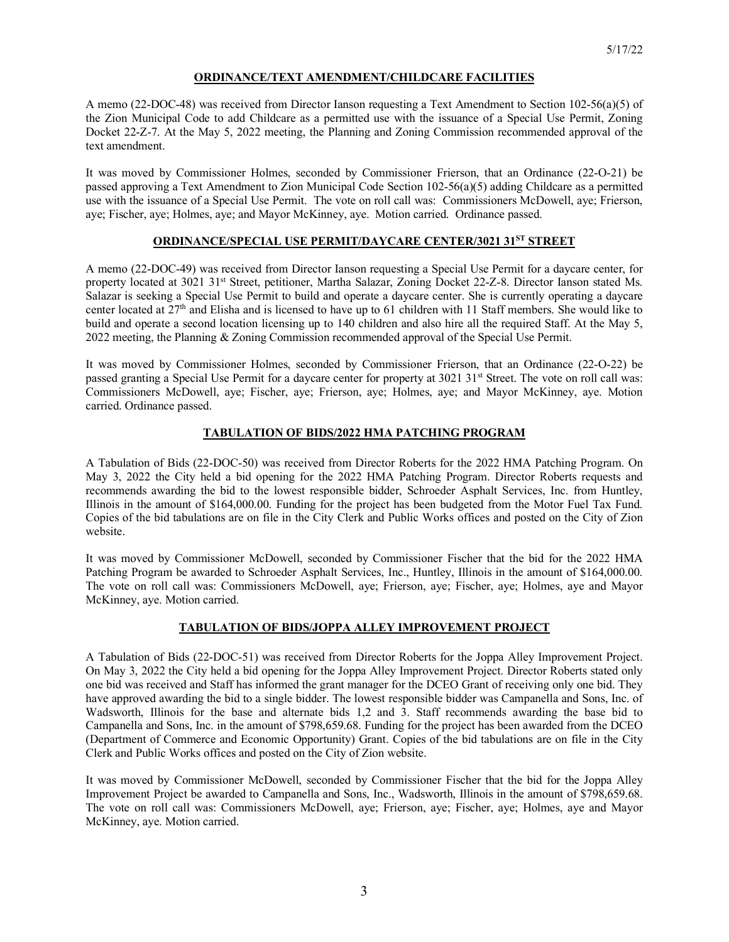## **ORDINANCE/TEXT AMENDMENT/CHILDCARE FACILITIES**

A memo (22-DOC-48) was received from Director Ianson requesting a Text Amendment to Section 102-56(a)(5) of the Zion Municipal Code to add Childcare as a permitted use with the issuance of a Special Use Permit, Zoning Docket 22-Z-7. At the May 5, 2022 meeting, the Planning and Zoning Commission recommended approval of the text amendment.

It was moved by Commissioner Holmes, seconded by Commissioner Frierson, that an Ordinance (22-O-21) be passed approving a Text Amendment to Zion Municipal Code Section 102-56(a)(5) adding Childcare as a permitted use with the issuance of a Special Use Permit. The vote on roll call was: Commissioners McDowell, aye; Frierson, aye; Fischer, aye; Holmes, aye; and Mayor McKinney, aye. Motion carried. Ordinance passed.

# **ORDINANCE/SPECIAL USE PERMIT/DAYCARE CENTER/3021 31ST STREET**

A memo (22-DOC-49) was received from Director Ianson requesting a Special Use Permit for a daycare center, for property located at 3021 31<sup>st</sup> Street, petitioner, Martha Salazar, Zoning Docket 22-Z-8. Director Ianson stated Ms. Salazar is seeking a Special Use Permit to build and operate a daycare center. She is currently operating a daycare center located at 27th and Elisha and is licensed to have up to 61 children with 11 Staff members. She would like to build and operate a second location licensing up to 140 children and also hire all the required Staff. At the May 5, 2022 meeting, the Planning & Zoning Commission recommended approval of the Special Use Permit.

It was moved by Commissioner Holmes, seconded by Commissioner Frierson, that an Ordinance (22-O-22) be passed granting a Special Use Permit for a daycare center for property at 3021 31<sup>st</sup> Street. The vote on roll call was: Commissioners McDowell, aye; Fischer, aye; Frierson, aye; Holmes, aye; and Mayor McKinney, aye. Motion carried. Ordinance passed.

# **TABULATION OF BIDS/2022 HMA PATCHING PROGRAM**

A Tabulation of Bids (22-DOC-50) was received from Director Roberts for the 2022 HMA Patching Program. On May 3, 2022 the City held a bid opening for the 2022 HMA Patching Program. Director Roberts requests and recommends awarding the bid to the lowest responsible bidder, Schroeder Asphalt Services, Inc. from Huntley, Illinois in the amount of \$164,000.00. Funding for the project has been budgeted from the Motor Fuel Tax Fund. Copies of the bid tabulations are on file in the City Clerk and Public Works offices and posted on the City of Zion website.

It was moved by Commissioner McDowell, seconded by Commissioner Fischer that the bid for the 2022 HMA Patching Program be awarded to Schroeder Asphalt Services, Inc., Huntley, Illinois in the amount of \$164,000.00. The vote on roll call was: Commissioners McDowell, aye; Frierson, aye; Fischer, aye; Holmes, aye and Mayor McKinney, aye. Motion carried.

# **TABULATION OF BIDS/JOPPA ALLEY IMPROVEMENT PROJECT**

A Tabulation of Bids (22-DOC-51) was received from Director Roberts for the Joppa Alley Improvement Project. On May 3, 2022 the City held a bid opening for the Joppa Alley Improvement Project. Director Roberts stated only one bid was received and Staff has informed the grant manager for the DCEO Grant of receiving only one bid. They have approved awarding the bid to a single bidder. The lowest responsible bidder was Campanella and Sons, Inc. of Wadsworth, Illinois for the base and alternate bids 1,2 and 3. Staff recommends awarding the base bid to Campanella and Sons, Inc. in the amount of \$798,659.68. Funding for the project has been awarded from the DCEO (Department of Commerce and Economic Opportunity) Grant. Copies of the bid tabulations are on file in the City Clerk and Public Works offices and posted on the City of Zion website.

It was moved by Commissioner McDowell, seconded by Commissioner Fischer that the bid for the Joppa Alley Improvement Project be awarded to Campanella and Sons, Inc., Wadsworth, Illinois in the amount of \$798,659.68. The vote on roll call was: Commissioners McDowell, aye; Frierson, aye; Fischer, aye; Holmes, aye and Mayor McKinney, aye. Motion carried.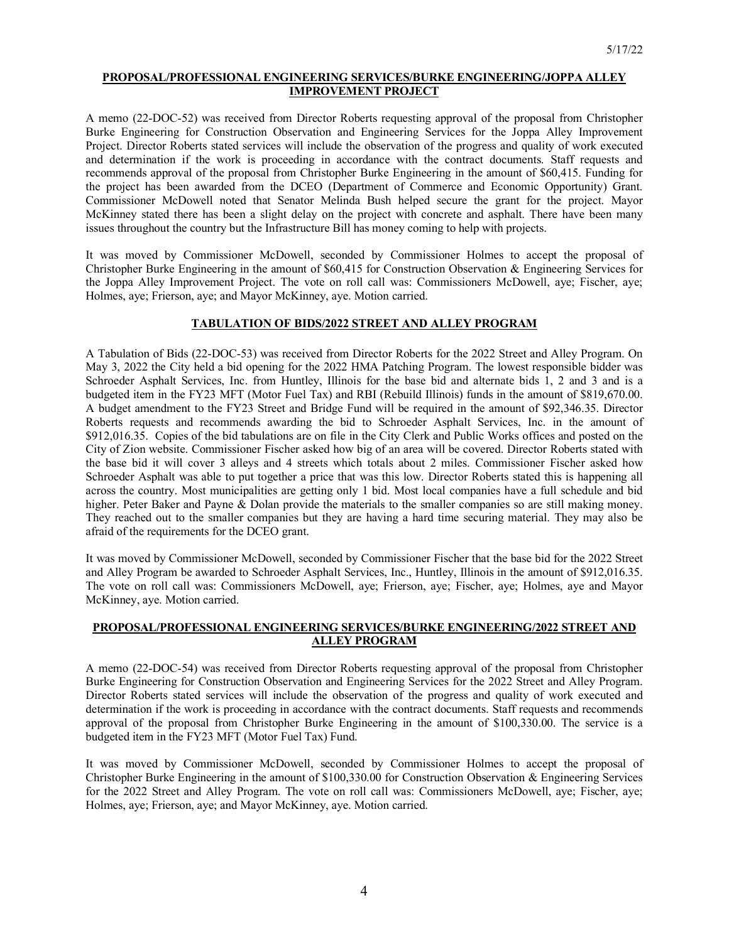### **PROPOSAL/PROFESSIONAL ENGINEERING SERVICES/BURKE ENGINEERING/JOPPA ALLEY IMPROVEMENT PROJECT**

A memo (22-DOC-52) was received from Director Roberts requesting approval of the proposal from Christopher Burke Engineering for Construction Observation and Engineering Services for the Joppa Alley Improvement Project. Director Roberts stated services will include the observation of the progress and quality of work executed and determination if the work is proceeding in accordance with the contract documents. Staff requests and recommends approval of the proposal from Christopher Burke Engineering in the amount of \$60,415. Funding for the project has been awarded from the DCEO (Department of Commerce and Economic Opportunity) Grant. Commissioner McDowell noted that Senator Melinda Bush helped secure the grant for the project. Mayor McKinney stated there has been a slight delay on the project with concrete and asphalt. There have been many issues throughout the country but the Infrastructure Bill has money coming to help with projects.

It was moved by Commissioner McDowell, seconded by Commissioner Holmes to accept the proposal of Christopher Burke Engineering in the amount of \$60,415 for Construction Observation & Engineering Services for the Joppa Alley Improvement Project. The vote on roll call was: Commissioners McDowell, aye; Fischer, aye; Holmes, aye; Frierson, aye; and Mayor McKinney, aye. Motion carried.

# **TABULATION OF BIDS/2022 STREET AND ALLEY PROGRAM**

A Tabulation of Bids (22-DOC-53) was received from Director Roberts for the 2022 Street and Alley Program. On May 3, 2022 the City held a bid opening for the 2022 HMA Patching Program. The lowest responsible bidder was Schroeder Asphalt Services, Inc. from Huntley, Illinois for the base bid and alternate bids 1, 2 and 3 and is a budgeted item in the FY23 MFT (Motor Fuel Tax) and RBI (Rebuild Illinois) funds in the amount of \$819,670.00. A budget amendment to the FY23 Street and Bridge Fund will be required in the amount of \$92,346.35. Director Roberts requests and recommends awarding the bid to Schroeder Asphalt Services, Inc. in the amount of \$912,016.35. Copies of the bid tabulations are on file in the City Clerk and Public Works offices and posted on the City of Zion website. Commissioner Fischer asked how big of an area will be covered. Director Roberts stated with the base bid it will cover 3 alleys and 4 streets which totals about 2 miles. Commissioner Fischer asked how Schroeder Asphalt was able to put together a price that was this low. Director Roberts stated this is happening all across the country. Most municipalities are getting only 1 bid. Most local companies have a full schedule and bid higher. Peter Baker and Payne & Dolan provide the materials to the smaller companies so are still making money. They reached out to the smaller companies but they are having a hard time securing material. They may also be afraid of the requirements for the DCEO grant.

It was moved by Commissioner McDowell, seconded by Commissioner Fischer that the base bid for the 2022 Street and Alley Program be awarded to Schroeder Asphalt Services, Inc., Huntley, Illinois in the amount of \$912,016.35. The vote on roll call was: Commissioners McDowell, aye; Frierson, aye; Fischer, aye; Holmes, aye and Mayor McKinney, aye. Motion carried.

## **PROPOSAL/PROFESSIONAL ENGINEERING SERVICES/BURKE ENGINEERING/2022 STREET AND ALLEY PROGRAM**

A memo (22-DOC-54) was received from Director Roberts requesting approval of the proposal from Christopher Burke Engineering for Construction Observation and Engineering Services for the 2022 Street and Alley Program. Director Roberts stated services will include the observation of the progress and quality of work executed and determination if the work is proceeding in accordance with the contract documents. Staff requests and recommends approval of the proposal from Christopher Burke Engineering in the amount of \$100,330.00. The service is a budgeted item in the FY23 MFT (Motor Fuel Tax) Fund.

It was moved by Commissioner McDowell, seconded by Commissioner Holmes to accept the proposal of Christopher Burke Engineering in the amount of \$100,330.00 for Construction Observation & Engineering Services for the 2022 Street and Alley Program. The vote on roll call was: Commissioners McDowell, aye; Fischer, aye; Holmes, aye; Frierson, aye; and Mayor McKinney, aye. Motion carried.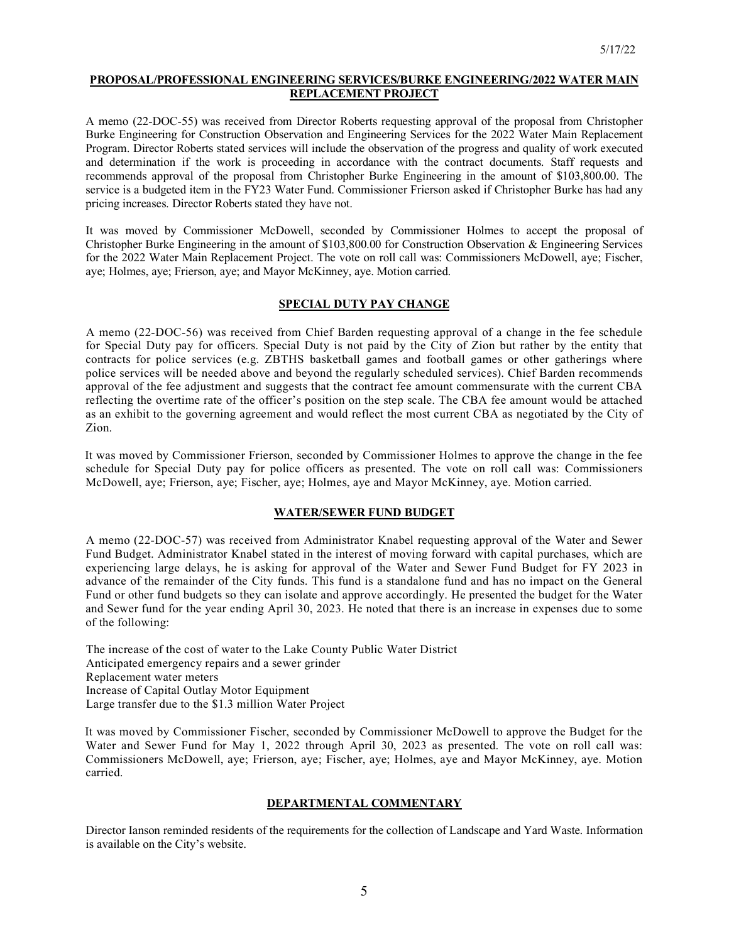### **PROPOSAL/PROFESSIONAL ENGINEERING SERVICES/BURKE ENGINEERING/2022 WATER MAIN REPLACEMENT PROJECT**

A memo (22-DOC-55) was received from Director Roberts requesting approval of the proposal from Christopher Burke Engineering for Construction Observation and Engineering Services for the 2022 Water Main Replacement Program. Director Roberts stated services will include the observation of the progress and quality of work executed and determination if the work is proceeding in accordance with the contract documents. Staff requests and recommends approval of the proposal from Christopher Burke Engineering in the amount of \$103,800.00. The service is a budgeted item in the FY23 Water Fund. Commissioner Frierson asked if Christopher Burke has had any pricing increases. Director Roberts stated they have not.

It was moved by Commissioner McDowell, seconded by Commissioner Holmes to accept the proposal of Christopher Burke Engineering in the amount of \$103,800.00 for Construction Observation & Engineering Services for the 2022 Water Main Replacement Project. The vote on roll call was: Commissioners McDowell, aye; Fischer, aye; Holmes, aye; Frierson, aye; and Mayor McKinney, aye. Motion carried.

## **SPECIAL DUTY PAY CHANGE**

A memo (22-DOC-56) was received from Chief Barden requesting approval of a change in the fee schedule for Special Duty pay for officers. Special Duty is not paid by the City of Zion but rather by the entity that contracts for police services (e.g. ZBTHS basketball games and football games or other gatherings where police services will be needed above and beyond the regularly scheduled services). Chief Barden recommends approval of the fee adjustment and suggests that the contract fee amount commensurate with the current CBA reflecting the overtime rate of the officer's position on the step scale. The CBA fee amount would be attached as an exhibit to the governing agreement and would reflect the most current CBA as negotiated by the City of Zion.

It was moved by Commissioner Frierson, seconded by Commissioner Holmes to approve the change in the fee schedule for Special Duty pay for police officers as presented. The vote on roll call was: Commissioners McDowell, aye; Frierson, aye; Fischer, aye; Holmes, aye and Mayor McKinney, aye. Motion carried.

### **WATER/SEWER FUND BUDGET**

A memo (22-DOC-57) was received from Administrator Knabel requesting approval of the Water and Sewer Fund Budget. Administrator Knabel stated in the interest of moving forward with capital purchases, which are experiencing large delays, he is asking for approval of the Water and Sewer Fund Budget for FY 2023 in advance of the remainder of the City funds. This fund is a standalone fund and has no impact on the General Fund or other fund budgets so they can isolate and approve accordingly. He presented the budget for the Water and Sewer fund for the year ending April 30, 2023. He noted that there is an increase in expenses due to some of the following:

The increase of the cost of water to the Lake County Public Water District Anticipated emergency repairs and a sewer grinder Replacement water meters Increase of Capital Outlay Motor Equipment Large transfer due to the \$1.3 million Water Project

It was moved by Commissioner Fischer, seconded by Commissioner McDowell to approve the Budget for the Water and Sewer Fund for May 1, 2022 through April 30, 2023 as presented. The vote on roll call was: Commissioners McDowell, aye; Frierson, aye; Fischer, aye; Holmes, aye and Mayor McKinney, aye. Motion carried.

## **DEPARTMENTAL COMMENTARY**

Director Ianson reminded residents of the requirements for the collection of Landscape and Yard Waste. Information is available on the City's website.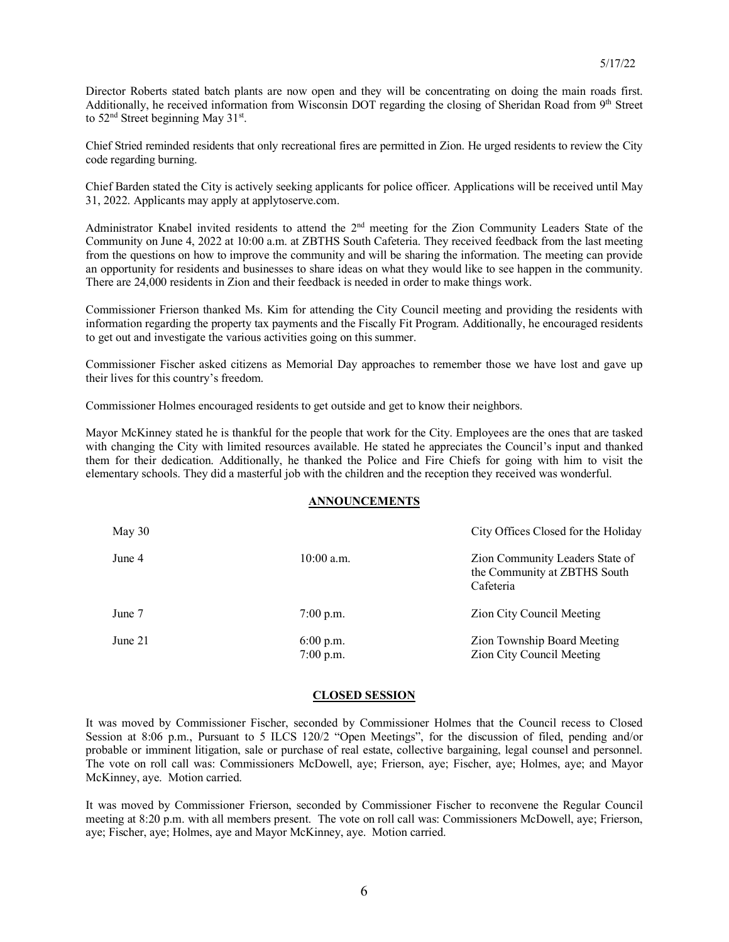Director Roberts stated batch plants are now open and they will be concentrating on doing the main roads first. Additionally, he received information from Wisconsin DOT regarding the closing of Sheridan Road from 9th Street to 52<sup>nd</sup> Street beginning May 31<sup>st</sup>.

Chief Stried reminded residents that only recreational fires are permitted in Zion. He urged residents to review the City code regarding burning.

Chief Barden stated the City is actively seeking applicants for police officer. Applications will be received until May 31, 2022. Applicants may apply at applytoserve.com.

Administrator Knabel invited residents to attend the 2<sup>nd</sup> meeting for the Zion Community Leaders State of the Community on June 4, 2022 at 10:00 a.m. at ZBTHS South Cafeteria. They received feedback from the last meeting from the questions on how to improve the community and will be sharing the information. The meeting can provide an opportunity for residents and businesses to share ideas on what they would like to see happen in the community. There are 24,000 residents in Zion and their feedback is needed in order to make things work.

Commissioner Frierson thanked Ms. Kim for attending the City Council meeting and providing the residents with information regarding the property tax payments and the Fiscally Fit Program. Additionally, he encouraged residents to get out and investigate the various activities going on this summer.

Commissioner Fischer asked citizens as Memorial Day approaches to remember those we have lost and gave up their lives for this country's freedom.

Commissioner Holmes encouraged residents to get outside and get to know their neighbors.

Mayor McKinney stated he is thankful for the people that work for the City. Employees are the ones that are tasked with changing the City with limited resources available. He stated he appreciates the Council's input and thanked them for their dedication. Additionally, he thanked the Police and Fire Chiefs for going with him to visit the elementary schools. They did a masterful job with the children and the reception they received was wonderful.

### **ANNOUNCEMENTS**

| May 30  |                          | City Offices Closed for the Holiday                                          |
|---------|--------------------------|------------------------------------------------------------------------------|
| June 4  | $10:00$ a.m.             | Zion Community Leaders State of<br>the Community at ZBTHS South<br>Cafeteria |
| June 7  | $7:00$ p.m.              | Zion City Council Meeting                                                    |
| June 21 | 6:00 p.m.<br>$7:00$ p.m. | Zion Township Board Meeting<br>Zion City Council Meeting                     |

## **CLOSED SESSION**

It was moved by Commissioner Fischer, seconded by Commissioner Holmes that the Council recess to Closed Session at 8:06 p.m., Pursuant to 5 ILCS 120/2 "Open Meetings", for the discussion of filed, pending and/or probable or imminent litigation, sale or purchase of real estate, collective bargaining, legal counsel and personnel. The vote on roll call was: Commissioners McDowell, aye; Frierson, aye; Fischer, aye; Holmes, aye; and Mayor McKinney, aye. Motion carried.

It was moved by Commissioner Frierson, seconded by Commissioner Fischer to reconvene the Regular Council meeting at 8:20 p.m. with all members present. The vote on roll call was: Commissioners McDowell, aye; Frierson, aye; Fischer, aye; Holmes, aye and Mayor McKinney, aye. Motion carried.